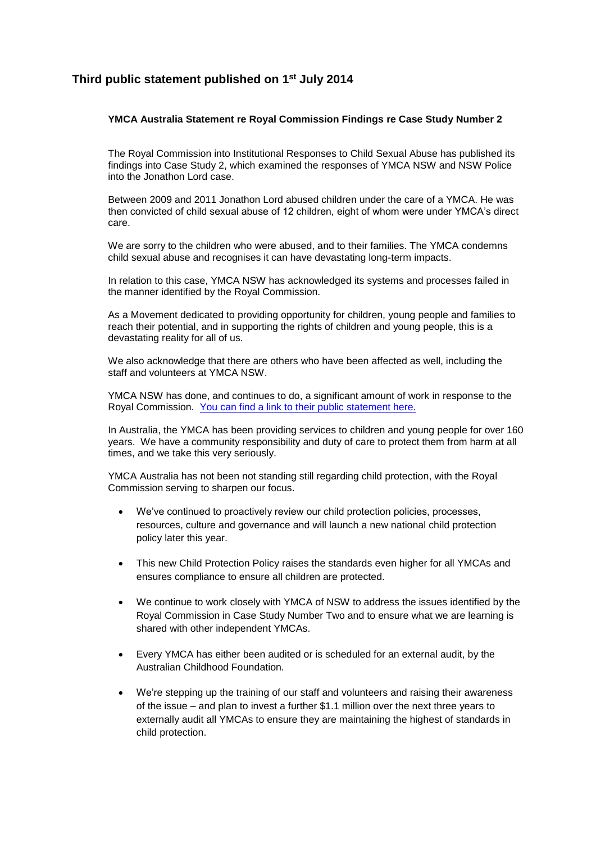## **Third public statement published on 1st July 2014**

## **YMCA Australia Statement re Royal Commission Findings re Case Study Number 2**

The Royal Commission into Institutional Responses to Child Sexual Abuse has published its findings into Case Study 2, which examined the responses of YMCA NSW and NSW Police into the Jonathon Lord case.

Between 2009 and 2011 Jonathon Lord abused children under the care of a YMCA. He was then convicted of child sexual abuse of 12 children, eight of whom were under YMCA's direct care.

We are sorry to the children who were abused, and to their families. The YMCA condemns child sexual abuse and recognises it can have devastating long-term impacts.

In relation to this case, YMCA NSW has acknowledged its systems and processes failed in the manner identified by the Royal Commission.

As a Movement dedicated to providing opportunity for children, young people and families to reach their potential, and in supporting the rights of children and young people, this is a devastating reality for all of us.

We also acknowledge that there are others who have been affected as well, including the staff and volunteers at YMCA NSW.

YMCA NSW has done, and continues to do, a significant amount of work in response to the Royal Commission. [You can find a link to their public statement here.](http://www.ymcansw.org.au/what-we-do/news/202-ymca-nsw-statement-in-response-to-the-royal-commission-into-institutional-responses-to-child-sexual-abuse-s-release-of-its-report-into-case-study-two)

In Australia, the YMCA has been providing services to children and young people for over 160 years. We have a community responsibility and duty of care to protect them from harm at all times, and we take this very seriously.

YMCA Australia has not been not standing still regarding child protection, with the Royal Commission serving to sharpen our focus.

- We've continued to proactively review our child protection policies, processes, resources, culture and governance and will launch a new national child protection policy later this year.
- This new Child Protection Policy raises the standards even higher for all YMCAs and ensures compliance to ensure all children are protected.
- We continue to work closely with YMCA of NSW to address the issues identified by the Royal Commission in Case Study Number Two and to ensure what we are learning is shared with other independent YMCAs.
- Every YMCA has either been audited or is scheduled for an external audit, by the Australian Childhood Foundation.
- We're stepping up the training of our staff and volunteers and raising their awareness of the issue – and plan to invest a further \$1.1 million over the next three years to externally audit all YMCAs to ensure they are maintaining the highest of standards in child protection.